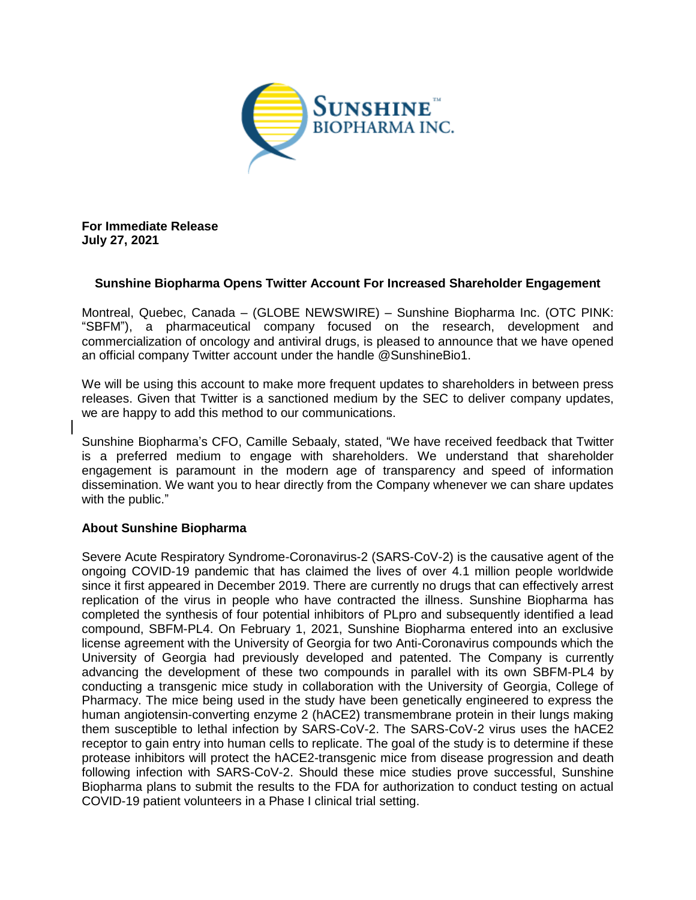

**For Immediate Release July 27, 2021**

## **Sunshine Biopharma Opens Twitter Account For Increased Shareholder Engagement**

Montreal, Quebec, Canada – (GLOBE NEWSWIRE) – Sunshine Biopharma Inc. (OTC PINK: "SBFM"), a pharmaceutical company focused on the research, development and commercialization of oncology and antiviral drugs, is pleased to announce that we have opened an official company Twitter account under the handle @SunshineBio1.

We will be using this account to make more frequent updates to shareholders in between press releases. Given that Twitter is a sanctioned medium by the SEC to deliver company updates, we are happy to add this method to our communications.

Sunshine Biopharma's CFO, Camille Sebaaly, stated, "We have received feedback that Twitter is a preferred medium to engage with shareholders. We understand that shareholder engagement is paramount in the modern age of transparency and speed of information dissemination. We want you to hear directly from the Company whenever we can share updates with the public."

## **About Sunshine Biopharma**

Severe Acute Respiratory Syndrome-Coronavirus-2 (SARS-CoV-2) is the causative agent of the ongoing COVID-19 pandemic that has claimed the lives of over 4.1 million people worldwide since it first appeared in December 2019. There are currently no drugs that can effectively arrest replication of the virus in people who have contracted the illness. Sunshine Biopharma has completed the synthesis of four potential inhibitors of PLpro and subsequently identified a lead compound, SBFM-PL4. On February 1, 2021, Sunshine Biopharma entered into an exclusive license agreement with the University of Georgia for two Anti-Coronavirus compounds which the University of Georgia had previously developed and patented. The Company is currently advancing the development of these two compounds in parallel with its own SBFM-PL4 by conducting a transgenic mice study in collaboration with the University of Georgia, College of Pharmacy. The mice being used in the study have been genetically engineered to express the human angiotensin-converting enzyme 2 (hACE2) transmembrane protein in their lungs making them susceptible to lethal infection by SARS-CoV-2. The SARS-CoV-2 virus uses the hACE2 receptor to gain entry into human cells to replicate. The goal of the study is to determine if these protease inhibitors will protect the hACE2-transgenic mice from disease progression and death following infection with SARS-CoV-2. Should these mice studies prove successful, Sunshine Biopharma plans to submit the results to the FDA for authorization to conduct testing on actual COVID-19 patient volunteers in a Phase I clinical trial setting.